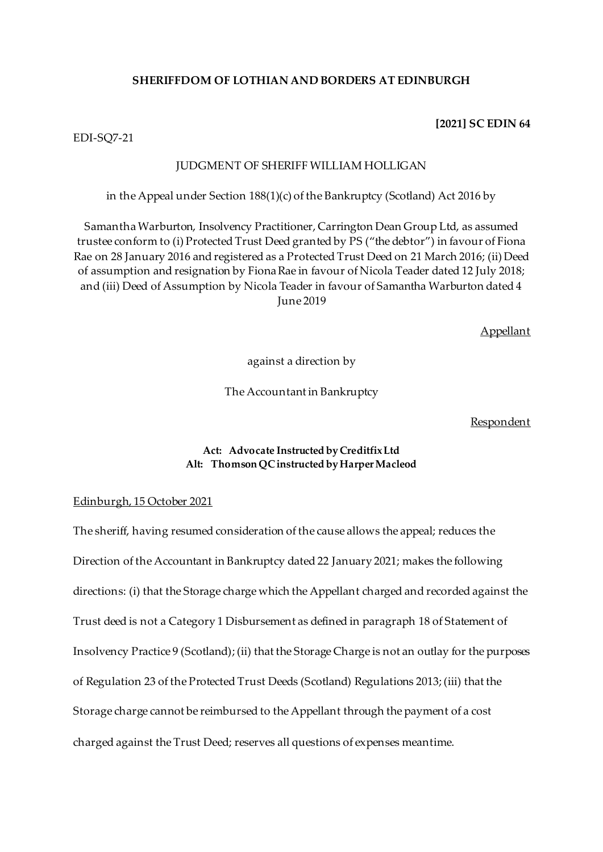### **SHERIFFDOM OF LOTHIAN AND BORDERS AT EDINBURGH**

### **[2021] SC EDIN 64**

EDI-SQ7-21

### JUDGMENT OF SHERIFF WILLIAM HOLLIGAN

in the Appeal under Section 188(1)(c) of the Bankruptcy (Scotland) Act 2016 by

Samantha Warburton, Insolvency Practitioner, Carrington Dean Group Ltd, as assumed trustee conform to (i) Protected Trust Deed granted by PS ("the debtor") in favour of Fiona Rae on 28 January 2016 and registered as a Protected Trust Deed on 21 March 2016; (ii) Deed of assumption and resignation by Fiona Rae in favour of Nicola Teader dated 12 July 2018; and (iii) Deed of Assumption by Nicola Teader in favour of Samantha Warburton dated 4 June 2019

Appellant

against a direction by

The Accountant in Bankruptcy

#### Respondent

### **Act: Advocate Instructed by Creditfix Ltd Alt: Thomson QC instructed by Harper Macleod**

### Edinburgh, 15 October 2021

The sheriff, having resumed consideration of the cause allows the appeal; reduces the Direction of the Accountant in Bankruptcy dated 22 January 2021; makes the following directions: (i) that the Storage charge which the Appellant charged and recorded against the Trust deed is not a Category 1 Disbursement as defined in paragraph 18 of Statement of Insolvency Practice 9 (Scotland); (ii) that the Storage Charge is not an outlay for the purposes of Regulation 23 of the Protected Trust Deeds (Scotland) Regulations 2013; (iii) that the Storage charge cannot be reimbursed to the Appellant through the payment of a cost charged against the Trust Deed; reserves all questions of expenses meantime.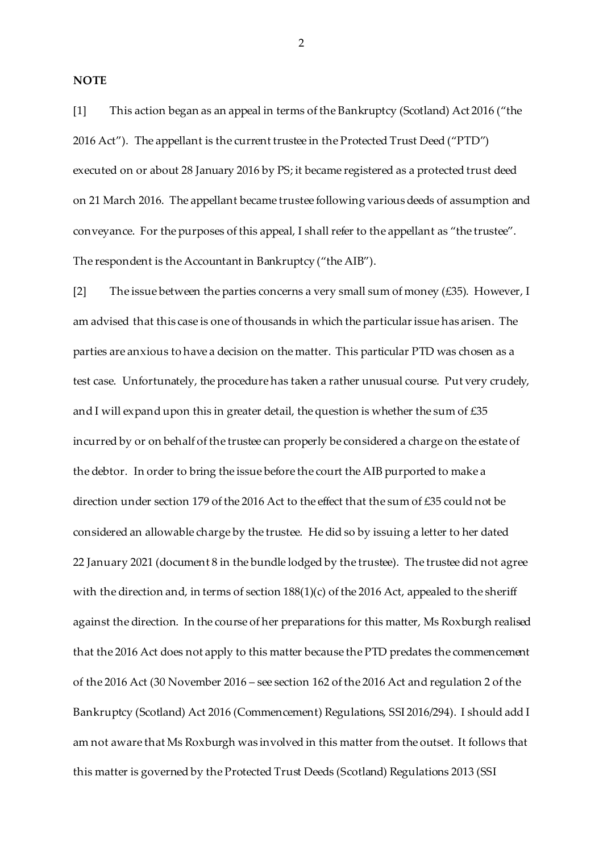**NOTE**

[1] This action began as an appeal in terms of the Bankruptcy (Scotland) Act 2016 ("the 2016 Act"). The appellant is the current trustee in the Protected Trust Deed ("PTD") executed on or about 28 January 2016 by PS; it became registered as a protected trust deed on 21 March 2016. The appellant became trustee following various deeds of assumption and conveyance. For the purposes of this appeal, I shall refer to the appellant as "the trustee". The respondent is the Accountant in Bankruptcy ("the AIB").

[2] The issue between the parties concerns a very small sum of money ( $\pounds$ 35). However, I am advised that this case is one of thousands in which the particular issue has arisen. The parties are anxious to have a decision on the matter. This particular PTD was chosen as a test case. Unfortunately, the procedure has taken a rather unusual course. Put very crudely, and I will expand upon this in greater detail, the question is whether the sum of  $\text{\textsterling}35$ incurred by or on behalf of the trustee can properly be considered a charge on the estate of the debtor. In order to bring the issue before the court the AIB purported to make a direction under section 179 of the 2016 Act to the effect that the sum of £35 could not be considered an allowable charge by the trustee. He did so by issuing a letter to her dated 22 January 2021 (document 8 in the bundle lodged by the trustee). The trustee did not agree with the direction and, in terms of section  $188(1)(c)$  of the 2016 Act, appealed to the sheriff against the direction. In the course of her preparations for this matter, Ms Roxburgh realised that the 2016 Act does not apply to this matter because the PTD predates the commencement of the 2016 Act (30 November 2016 – see section 162 of the 2016 Act and regulation 2 of the Bankruptcy (Scotland) Act 2016 (Commencement) Regulations, SSI 2016/294). I should add I am not aware that Ms Roxburgh was involved in this matter from the outset. It follows that this matter is governed by the Protected Trust Deeds (Scotland) Regulations 2013 (SSI

 $\mathfrak{D}$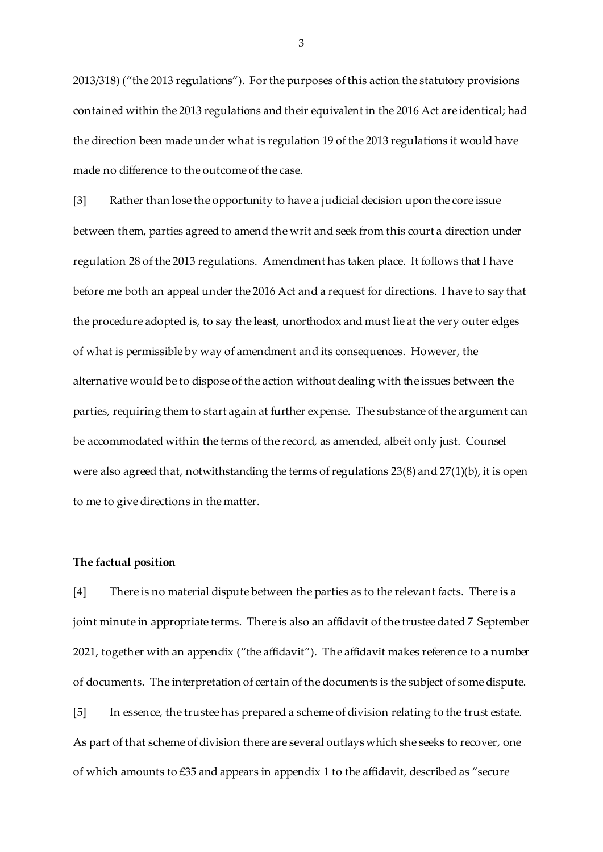2013/318) ("the 2013 regulations"). For the purposes of this action the statutory provisions contained within the 2013 regulations and their equivalent in the 2016 Act are identical; had the direction been made under what is regulation 19 of the 2013 regulations it would have made no difference to the outcome of the case.

[3] Rather than lose the opportunity to have a judicial decision upon the core issue between them, parties agreed to amend the writ and seek from this court a direction under regulation 28 of the 2013 regulations. Amendment has taken place. It follows that I have before me both an appeal under the 2016 Act and a request for directions. I have to say that the procedure adopted is, to say the least, unorthodox and must lie at the very outer edges of what is permissible by way of amendment and its consequences. However, the alternative would be to dispose of the action without dealing with the issues between the parties, requiring them to start again at further expense. The substance of the argument can be accommodated within the terms of the record, as amended, albeit only just. Counsel were also agreed that, notwithstanding the terms of regulations 23(8) and 27(1)(b), it is open to me to give directions in the matter.

#### **The factual position**

[4] There is no material dispute between the parties as to the relevant facts. There is a joint minute in appropriate terms. There is also an affidavit of the trustee dated 7 September 2021, together with an appendix ("the affidavit"). The affidavit makes reference to a number of documents. The interpretation of certain of the documents is the subject of some dispute. [5] In essence, the trustee has prepared a scheme of division relating to the trust estate. As part of that scheme of division there are several outlays which she seeks to recover, one of which amounts to £35 and appears in appendix 1 to the affidavit, described as "secure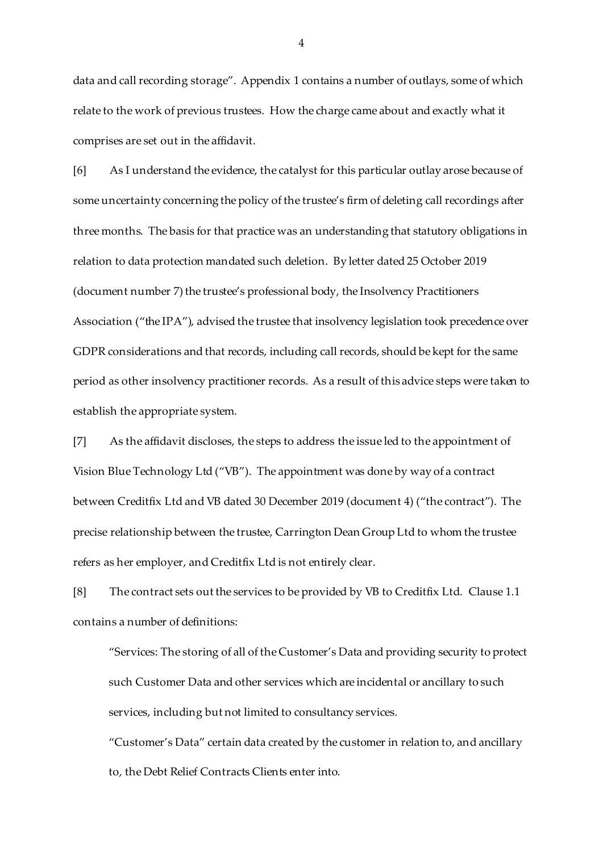data and call recording storage". Appendix 1 contains a number of outlays, some of which relate to the work of previous trustees. How the charge came about and exactly what it comprises are set out in the affidavit.

[6] As I understand the evidence, the catalyst for this particular outlay arose because of some uncertainty concerning the policy of the trustee's firm of deleting call recordings after three months. The basis for that practice was an understanding that statutory obligations in relation to data protection mandated such deletion. By letter dated 25 October 2019 (document number 7) the trustee's professional body, the Insolvency Practitioners Association ("the IPA"), advised the trustee that insolvency legislation took precedence over GDPR considerations and that records, including call records, should be kept for the same period as other insolvency practitioner records. As a result of this advice steps were taken to establish the appropriate system.

[7] As the affidavit discloses, the steps to address the issue led to the appointment of Vision Blue Technology Ltd ("VB"). The appointment was done by way of a contract between Creditfix Ltd and VB dated 30 December 2019 (document 4) ("the contract"). The precise relationship between the trustee, Carrington Dean Group Ltd to whom the trustee refers as her employer, and Creditfix Ltd is not entirely clear.

[8] The contract sets out the services to be provided by VB to Creditfix Ltd. Clause 1.1 contains a number of definitions:

"Services: The storing of all of the Customer's Data and providing security to protect such Customer Data and other services which are incidental or ancillary to such services, including but not limited to consultancy services.

"Customer's Data" certain data created by the customer in relation to, and ancillary to, the Debt Relief Contracts Clients enter into.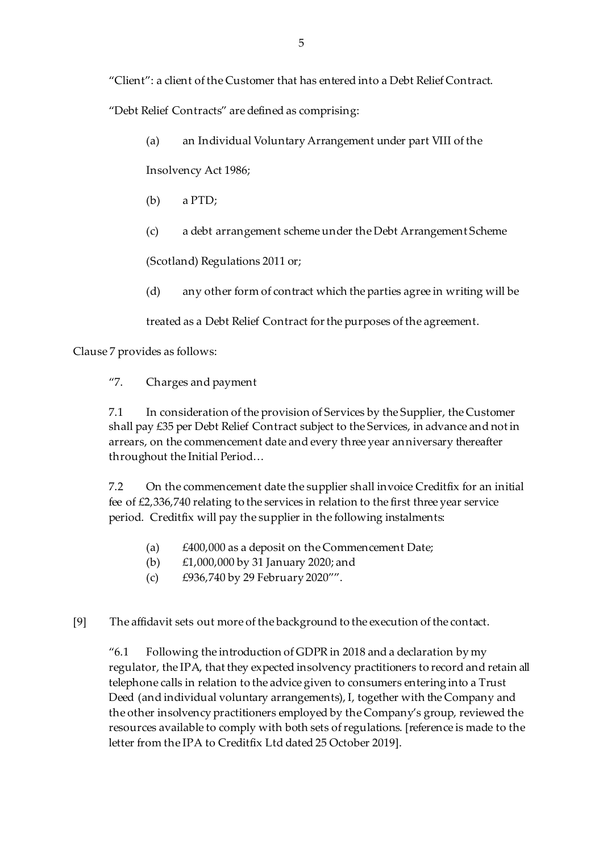"Client": a client of the Customer that has entered into a Debt Relief Contract.

"Debt Relief Contracts" are defined as comprising:

(a) an Individual Voluntary Arrangement under part VIII of the

Insolvency Act 1986;

- (b) a PTD;
- (c) a debt arrangement scheme under the Debt Arrangement Scheme

(Scotland) Regulations 2011 or;

(d) any other form of contract which the parties agree in writing will be

treated as a Debt Relief Contract for the purposes of the agreement.

Clause 7 provides as follows:

"7. Charges and payment

7.1 In consideration of the provision of Services by the Supplier, the Customer shall pay £35 per Debt Relief Contract subject to the Services, in advance and not in arrears, on the commencement date and every three year anniversary thereafter throughout the Initial Period…

7.2 On the commencement date the supplier shall invoice Creditfix for an initial fee of £2,336,740 relating to the services in relation to the first three year service period. Creditfix will pay the supplier in the following instalments:

- (a) £400,000 as a deposit on the Commencement Date;
- (b) £1,000,000 by 31 January 2020; and
- (c) £936,740 by 29 February 2020"".
- [9] The affidavit sets out more of the background to the execution of the contact.

"6.1 Following the introduction of GDPR in 2018 and a declaration by my regulator, the IPA, that they expected insolvency practitioners to record and retain all telephone calls in relation to the advice given to consumers entering into a Trust Deed (and individual voluntary arrangements), I, together with the Company and the other insolvency practitioners employed by the Company's group, reviewed the resources available to comply with both sets of regulations. [reference is made to the letter from the IPA to Creditfix Ltd dated 25 October 2019].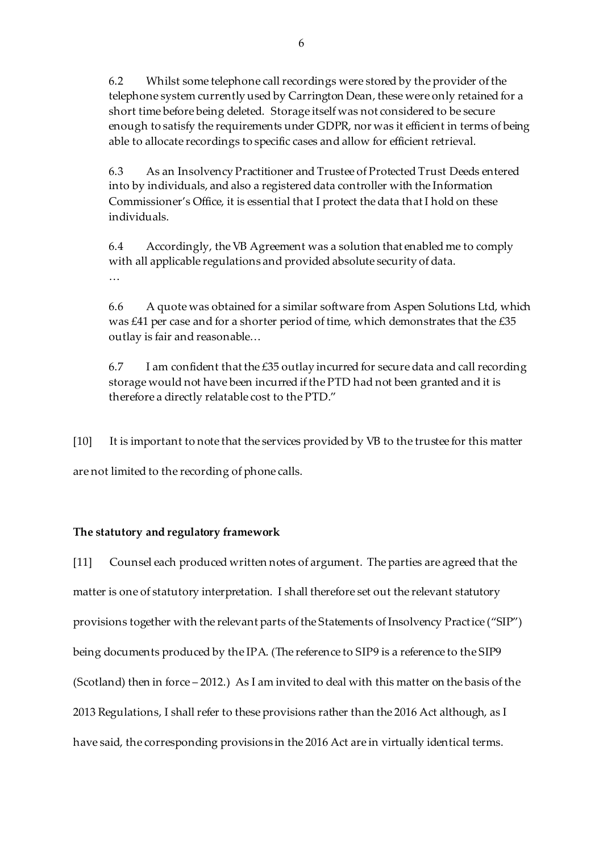6.2 Whilst some telephone call recordings were stored by the provider of the telephone system currently used by Carrington Dean, these were only retained for a short time before being deleted. Storage itself was not considered to be secure enough to satisfy the requirements under GDPR, nor was it efficient in terms of being able to allocate recordings to specific cases and allow for efficient retrieval.

6.3 As an Insolvency Practitioner and Trustee of Protected Trust Deeds entered into by individuals, and also a registered data controller with the Information Commissioner's Office, it is essential that I protect the data that I hold on these individuals.

6.4 Accordingly, the VB Agreement was a solution that enabled me to comply with all applicable regulations and provided absolute security of data. …

6.6 A quote was obtained for a similar software from Aspen Solutions Ltd, which was £41 per case and for a shorter period of time, which demonstrates that the £35 outlay is fair and reasonable…

6.7 I am confident that the £35 outlay incurred for secure data and call recording storage would not have been incurred if the PTD had not been granted and it is therefore a directly relatable cost to the PTD."

[10] It is important to note that the services provided by VB to the trustee for this matter are not limited to the recording of phone calls.

## **The statutory and regulatory framework**

[11] Counsel each produced written notes of argument. The parties are agreed that the matter is one of statutory interpretation. I shall therefore set out the relevant statutory provisions together with the relevant parts of the Statements of Insolvency Practice ("SIP") being documents produced by the IPA. (The reference to SIP9 is a reference to the SIP9 (Scotland) then in force – 2012.) As I am invited to deal with this matter on the basis of the 2013 Regulations, I shall refer to these provisions rather than the 2016 Act although, as I have said, the corresponding provisions in the 2016 Act are in virtually identical terms.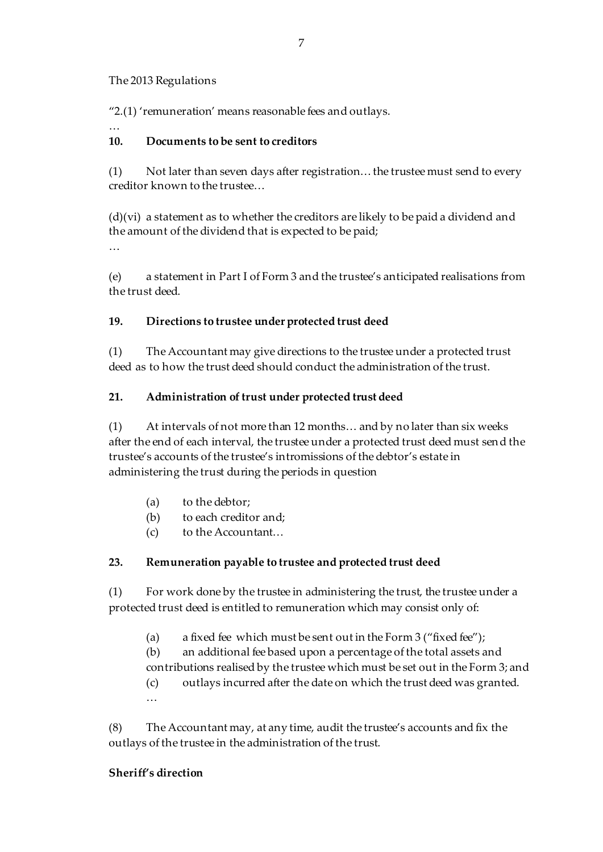## The 2013 Regulations

"2.(1) 'remuneration' means reasonable fees and outlays.

# **10. Documents to be sent to creditors**

(1) Not later than seven days after registration… the trustee must send to every creditor known to the trustee…

(d)(vi) a statement as to whether the creditors are likely to be paid a dividend and the amount of the dividend that is expected to be paid;

…

…

(e) a statement in Part I of Form 3 and the trustee's anticipated realisations from the trust deed.

## **19. Directions to trustee under protected trust deed**

(1) The Accountant may give directions to the trustee under a protected trust deed as to how the trust deed should conduct the administration of the trust.

# **21. Administration of trust under protected trust deed**

(1) At intervals of not more than 12 months… and by no later than six weeks after the end of each interval, the trustee under a protected trust deed must send the trustee's accounts of the trustee's intromissions of the debtor's estate in administering the trust during the periods in question

- (a) to the debtor;
- (b) to each creditor and;
- (c) to the Accountant…

# **23. Remuneration payable to trustee and protected trust deed**

(1) For work done by the trustee in administering the trust, the trustee under a protected trust deed is entitled to remuneration which may consist only of:

(a) a fixed fee which must be sent out in the Form  $3$  ("fixed fee");

(b) an additional fee based upon a percentage of the total assets and contributions realised by the trustee which must be set out in the Form 3; and

(c) outlays incurred after the date on which the trust deed was granted. …

(8) The Accountant may, at any time, audit the trustee's accounts and fix the outlays of the trustee in the administration of the trust.

## **Sheriff's direction**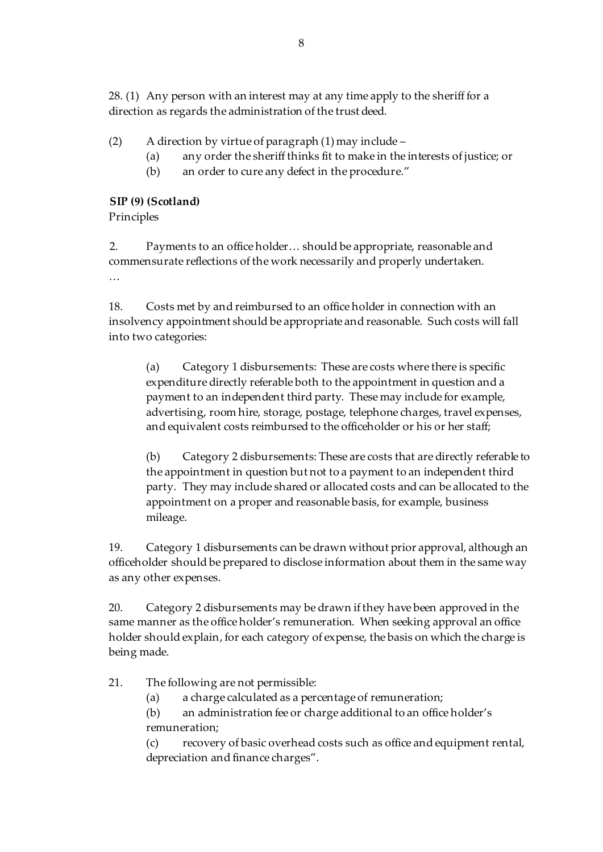28. (1) Any person with an interest may at any time apply to the sheriff for a direction as regards the administration of the trust deed.

- (2) A direction by virtue of paragraph (1) may include
	- (a) any order the sheriff thinks fit to make in the interests of justice; or
	- (b) an order to cure any defect in the procedure."

# **SIP (9) (Scotland)**

Principles

2. Payments to an office holder… should be appropriate, reasonable and commensurate reflections of the work necessarily and properly undertaken. …

18. Costs met by and reimbursed to an office holder in connection with an insolvency appointment should be appropriate and reasonable. Such costs will fall into two categories:

(a) Category 1 disbursements: These are costs where there is specific expenditure directly referable both to the appointment in question and a payment to an independent third party. These may include for example, advertising, room hire, storage, postage, telephone charges, travel expenses, and equivalent costs reimbursed to the officeholder or his or her staff;

(b) Category 2 disbursements: These are costs that are directly referable to the appointment in question but not to a payment to an independent third party. They may include shared or allocated costs and can be allocated to the appointment on a proper and reasonable basis, for example, business mileage.

19. Category 1 disbursements can be drawn without prior approval, although an officeholder should be prepared to disclose information about them in the same way as any other expenses.

20. Category 2 disbursements may be drawn if they have been approved in the same manner as the office holder's remuneration. When seeking approval an office holder should explain, for each category of expense, the basis on which the charge is being made.

21. The following are not permissible:

(a) a charge calculated as a percentage of remuneration;

(b) an administration fee or charge additional to an office holder's remuneration;

(c) recovery of basic overhead costs such as office and equipment rental, depreciation and finance charges".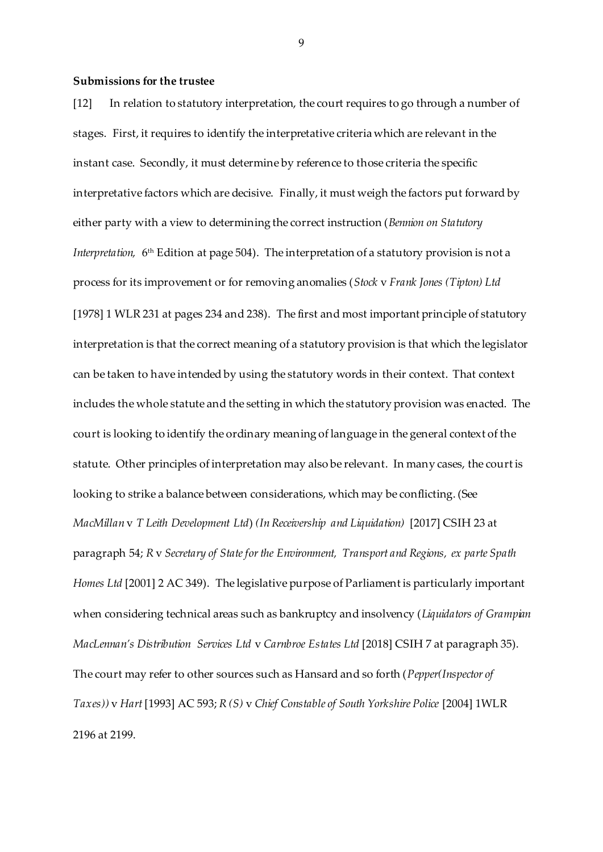#### **Submissions for the trustee**

[12] In relation to statutory interpretation, the court requires to go through a number of stages. First, it requires to identify the interpretative criteria which are relevant in the instant case. Secondly, it must determine by reference to those criteria the specific interpretative factors which are decisive. Finally, it must weigh the factors put forward by either party with a view to determining the correct instruction (*Bennion on Statutory Interpretation,*6<sup>th</sup> Edition at page 504). The interpretation of a statutory provision is not a l process for its improvement or for removing anomalies (*Stock* v *Frank Jones (Tipton) Ltd* [1978] 1 WLR 231 at pages 234 and 238). The first and most important principle of statutory interpretation is that the correct meaning of a statutory provision is that which the legislator can be taken to have intended by using the statutory words in their context. That context includes the whole statute and the setting in which the statutory provision was enacted. The court is looking to identify the ordinary meaning of language in the general context of the statute. Other principles of interpretation may also be relevant. In many cases, the court is looking to strike a balance between considerations, which may be conflicting. (See *MacMillan* v *T Leith Development Ltd*) *(In Receivership and Liquidation)* [2017] CSIH 23 at paragraph 54; *R* v *Secretary of State for the Environment, Transport and Regions, ex parte Spath Homes Ltd* [2001] 2 AC 349). The legislative purpose of Parliament is particularly important when considering technical areas such as bankruptcy and insolvency (*Liquidators of Grampian MacLennan's Distribution Services Ltd* v *Carnbroe Estates Ltd* [2018] CSIH 7 at paragraph 35). The court may refer to other sources such as Hansard and so forth (*Pepper(Inspector of Taxes))* v *Hart* [1993] AC 593; *R (S)* v *Chief Constable of South Yorkshire Police* [2004] 1WLR 2196 at 2199.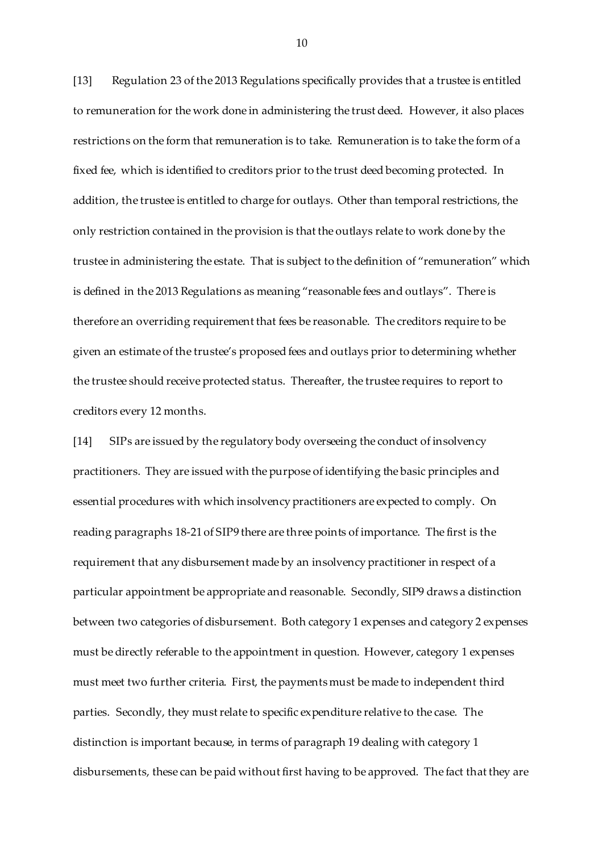[13] Regulation 23 of the 2013 Regulations specifically provides that a trustee is entitled to remuneration for the work done in administering the trust deed. However, it also places restrictions on the form that remuneration is to take. Remuneration is to take the form of a fixed fee, which is identified to creditors prior to the trust deed becoming protected. In addition, the trustee is entitled to charge for outlays. Other than temporal restrictions, the only restriction contained in the provision is that the outlays relate to work done by the trustee in administering the estate. That is subject to the definition of "remuneration" which is defined in the 2013 Regulations as meaning "reasonable fees and outlays". There is therefore an overriding requirement that fees be reasonable. The creditors require to be given an estimate of the trustee's proposed fees and outlays prior to determining whether the trustee should receive protected status. Thereafter, the trustee requires to report to creditors every 12 months.

[14] SIPs are issued by the regulatory body overseeing the conduct of insolvency practitioners. They are issued with the purpose of identifying the basic principles and essential procedures with which insolvency practitioners are expected to comply. On reading paragraphs 18-21 of SIP9 there are three points of importance. The first is the requirement that any disbursement made by an insolvency practitioner in respect of a particular appointment be appropriate and reasonable. Secondly, SIP9 draws a distinction between two categories of disbursement. Both category 1 expenses and category 2 expenses must be directly referable to the appointment in question. However, category 1 expenses must meet two further criteria. First, the payments must be made to independent third parties. Secondly, they must relate to specific expenditure relative to the case. The distinction is important because, in terms of paragraph 19 dealing with category 1 disbursements, these can be paid without first having to be approved. The fact that they are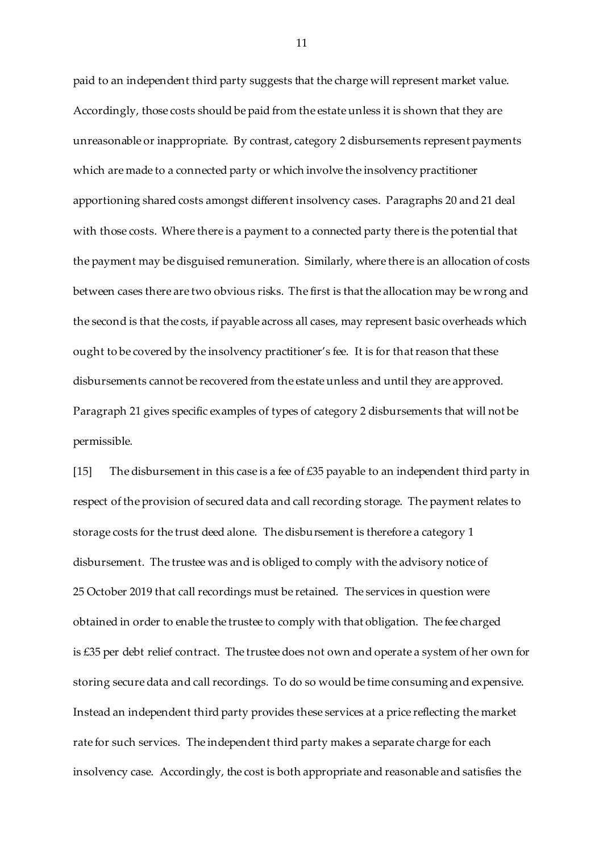paid to an independent third party suggests that the charge will represent market value. Accordingly, those costs should be paid from the estate unless it is shown that they are unreasonable or inappropriate. By contrast, category 2 disbursements represent payments which are made to a connected party or which involve the insolvency practitioner apportioning shared costs amongst different insolvency cases. Paragraphs 20 and 21 deal with those costs. Where there is a payment to a connected party there is the potential that the payment may be disguised remuneration. Similarly, where there is an allocation of costs between cases there are two obvious risks. The first is that the allocation may be wrong and the second is that the costs, if payable across all cases, may represent basic overheads which ought to be covered by the insolvency practitioner's fee. It is for that reason that these disbursements cannot be recovered from the estate unless and until they are approved. Paragraph 21 gives specific examples of types of category 2 disbursements that will not be permissible.

[15] The disbursement in this case is a fee of  $\pounds 35$  payable to an independent third party in respect of the provision of secured data and call recording storage. The payment relates to storage costs for the trust deed alone. The disbursement is therefore a category 1 disbursement. The trustee was and is obliged to comply with the advisory notice of 25 October 2019 that call recordings must be retained. The services in question were obtained in order to enable the trustee to comply with that obligation. The fee charged is £35 per debt relief contract. The trustee does not own and operate a system of her own for storing secure data and call recordings. To do so would be time consuming and expensive. Instead an independent third party provides these services at a price reflecting the market rate for such services. The independent third party makes a separate charge for each insolvency case. Accordingly, the cost is both appropriate and reasonable and satisfies the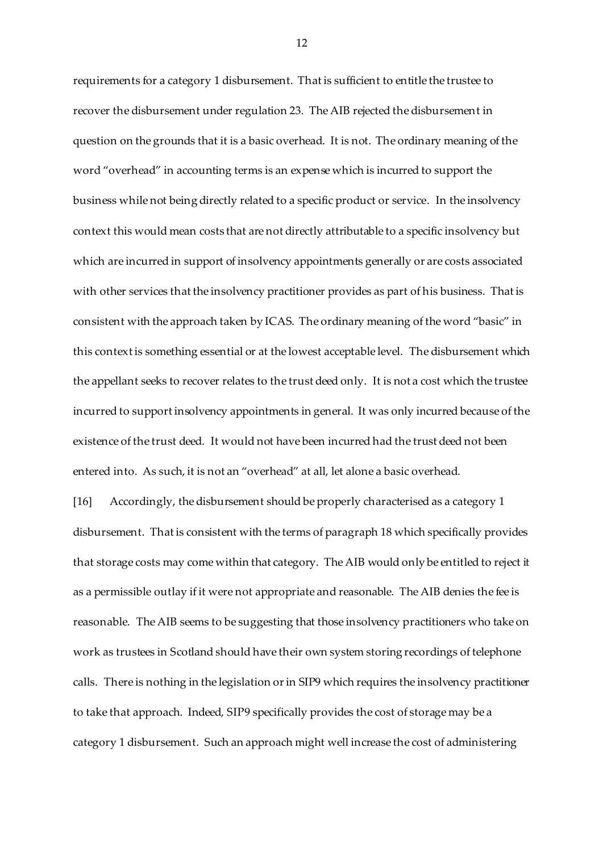requirements for a category 1 disbursement. That is sufficient to entitle the trustee to recover the disbursement under regulation 23. The AIB rejected the disbursement in question on the grounds that it is a basic overhead. It is not. The ordinary meaning of the word "overhead" in accounting terms is an expense which is incurred to support the business while not being directly related to a specific product or service. In the insolvency context this would mean costs that are not directly attributable to a specific insolvency but which are incurred in support of insolvency appointments generally or are costs associated with other services that the insolvency practitioner provides as part of his business. That is consistent with the approach taken by ICAS. The ordinary meaning of the word "basic" in this context is something essential or at the lowest acceptable level. The disbursement which the appellant seeks to recover relates to the trust deed only. It is not a cost which the trustee incurred to support insolvency appointments in general. It was only incurred because of the existence of the trust deed. It would not have been incurred had the trust deed not been entered into. As such, it is not an "overhead" at all, let alone a basic overhead.

[16] Accordingly, the disbursement should be properly characterised as a category 1 disbursement. That is consistent with the terms of paragraph 18 which specifically provides that storage costs may come within that category. The AIB would only be entitled to reject it as a permissible outlay if it were not appropriate and reasonable. The AIB denies the fee is reasonable. The AIB seems to be suggesting that those insolvency practitioners who take on work as trustees in Scotland should have their own system storing recordings of telephone calls. There is nothing in the legislation or in SIP9 which requires the insolvency practitioner to take that approach. Indeed, SIP9 specifically provides the cost of storage may be a category 1 disbursement. Such an approach might well increase the cost of administering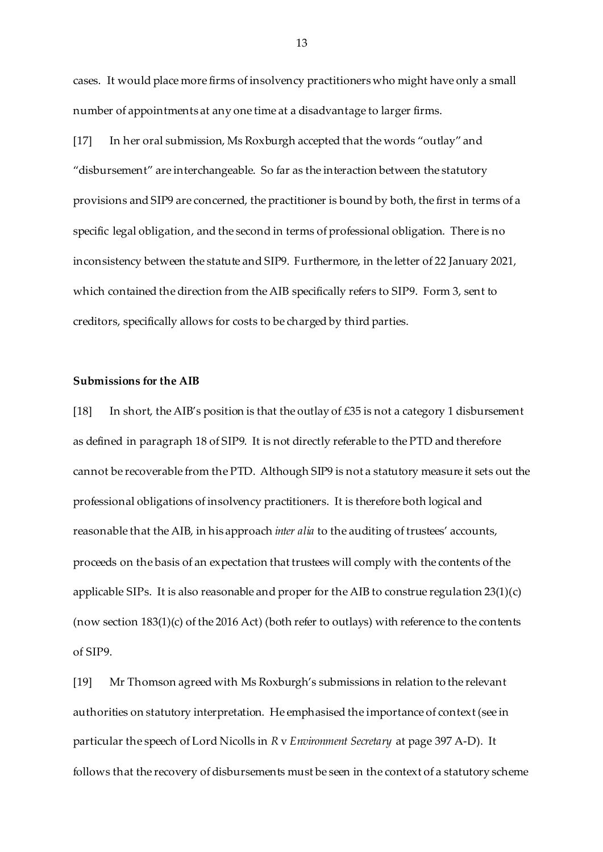cases. It would place more firms of insolvency practitioners who might have only a small number of appointments at any one time at a disadvantage to larger firms.

[17] In her oral submission, Ms Roxburgh accepted that the words "outlay" and "disbursement" are interchangeable. So far as the interaction between the statutory provisions and SIP9 are concerned, the practitioner is bound by both, the first in terms of a specific legal obligation, and the second in terms of professional obligation. There is no inconsistency between the statute and SIP9. Furthermore, in the letter of 22 January 2021, which contained the direction from the AIB specifically refers to SIP9. Form 3, sent to creditors, specifically allows for costs to be charged by third parties.

### **Submissions for the AIB**

[18] In short, the AIB's position is that the outlay of £35 is not a category 1 disbursement as defined in paragraph 18 of SIP9. It is not directly referable to the PTD and therefore cannot be recoverable from the PTD. Although SIP9 is not a statutory measure it sets out the professional obligations of insolvency practitioners. It is therefore both logical and reasonable that the AIB, in his approach *inter alia* to the auditing of trustees' accounts, proceeds on the basis of an expectation that trustees will comply with the contents of the applicable SIPs. It is also reasonable and proper for the AIB to construe regulation 23(1)(c) (now section 183(1)(c) of the 2016 Act) (both refer to outlays) with reference to the contents of SIP9.

[19] Mr Thomson agreed with Ms Roxburgh's submissions in relation to the relevant authorities on statutory interpretation. He emphasised the importance of context (see in particular the speech of Lord Nicolls in *R* v *Environment Secretary* at page 397 A-D). It follows that the recovery of disbursements must be seen in the context of a statutory scheme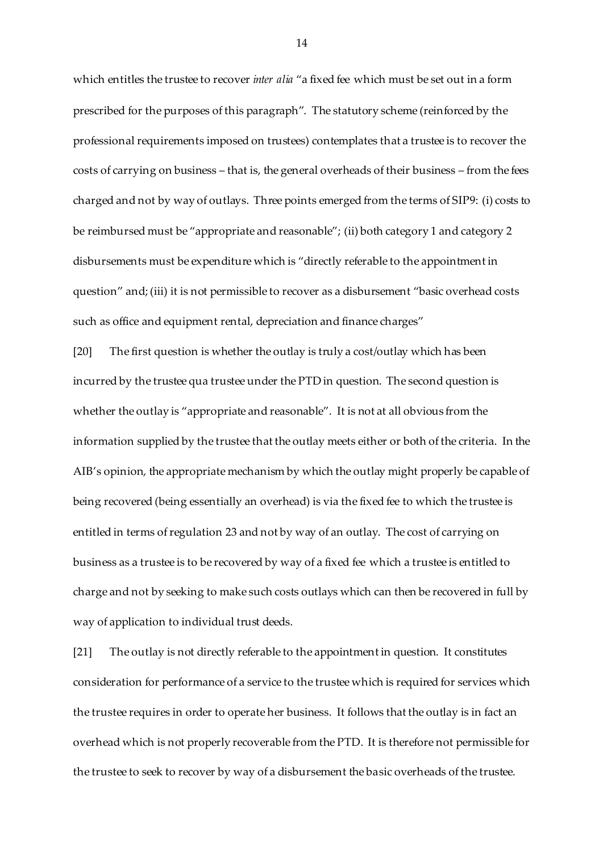which entitles the trustee to recover *inter alia* "a fixed fee which must be set out in a form prescribed for the purposes of this paragraph". The statutory scheme (reinforced by the professional requirements imposed on trustees) contemplates that a trustee is to recover the costs of carrying on business – that is, the general overheads of their business – from the fees charged and not by way of outlays. Three points emerged from the terms of SIP9: (i) costs to be reimbursed must be "appropriate and reasonable"; (ii) both category 1 and category 2 disbursements must be expenditure which is "directly referable to the appointment in question" and; (iii) it is not permissible to recover as a disbursement "basic overhead costs such as office and equipment rental, depreciation and finance charges"

[20] The first question is whether the outlay is truly a cost/outlay which has been incurred by the trustee qua trustee under the PTD in question. The second question is whether the outlay is "appropriate and reasonable". It is not at all obvious from the information supplied by the trustee that the outlay meets either or both of the criteria. In the AIB's opinion, the appropriate mechanism by which the outlay might properly be capable of being recovered (being essentially an overhead) is via the fixed fee to which the trustee is entitled in terms of regulation 23 and not by way of an outlay. The cost of carrying on business as a trustee is to be recovered by way of a fixed fee which a trustee is entitled to charge and not by seeking to make such costs outlays which can then be recovered in full by way of application to individual trust deeds.

[21] The outlay is not directly referable to the appointment in question. It constitutes consideration for performance of a service to the trustee which is required for services which the trustee requires in order to operate her business. It follows that the outlay is in fact an overhead which is not properly recoverable from the PTD. It is therefore not permissible for the trustee to seek to recover by way of a disbursement the basic overheads of the trustee.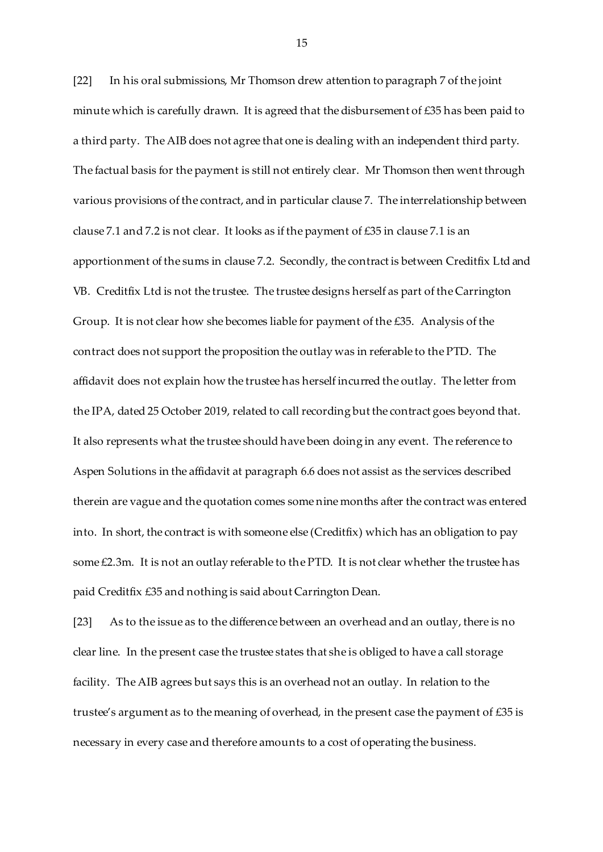[22] In his oral submissions, Mr Thomson drew attention to paragraph 7 of the joint minute which is carefully drawn. It is agreed that the disbursement of £35 has been paid to a third party. The AIB does not agree that one is dealing with an independent third party. The factual basis for the payment is still not entirely clear. Mr Thomson then went through various provisions of the contract, and in particular clause 7. The interrelationship between clause 7.1 and 7.2 is not clear. It looks as if the payment of £35 in clause 7.1 is an apportionment of the sums in clause 7.2. Secondly, the contract is between Creditfix Ltd and VB. Creditfix Ltd is not the trustee. The trustee designs herself as part of the Carrington Group. It is not clear how she becomes liable for payment of the £35. Analysis of the contract does not support the proposition the outlay was in referable to the PTD. The affidavit does not explain how the trustee has herself incurred the outlay. The letter from the IPA, dated 25 October 2019, related to call recording but the contract goes beyond that. It also represents what the trustee should have been doing in any event. The reference to Aspen Solutions in the affidavit at paragraph 6.6 does not assist as the services described therein are vague and the quotation comes some nine months after the contract was entered into. In short, the contract is with someone else (Creditfix) which has an obligation to pay some £2.3m. It is not an outlay referable to the PTD. It is not clear whether the trustee has paid Creditfix £35 and nothing is said about Carrington Dean.

[23] As to the issue as to the difference between an overhead and an outlay, there is no clear line. In the present case the trustee states that she is obliged to have a call storage facility. The AIB agrees but says this is an overhead not an outlay. In relation to the trustee's argument as to the meaning of overhead, in the present case the payment of £35 is necessary in every case and therefore amounts to a cost of operating the business.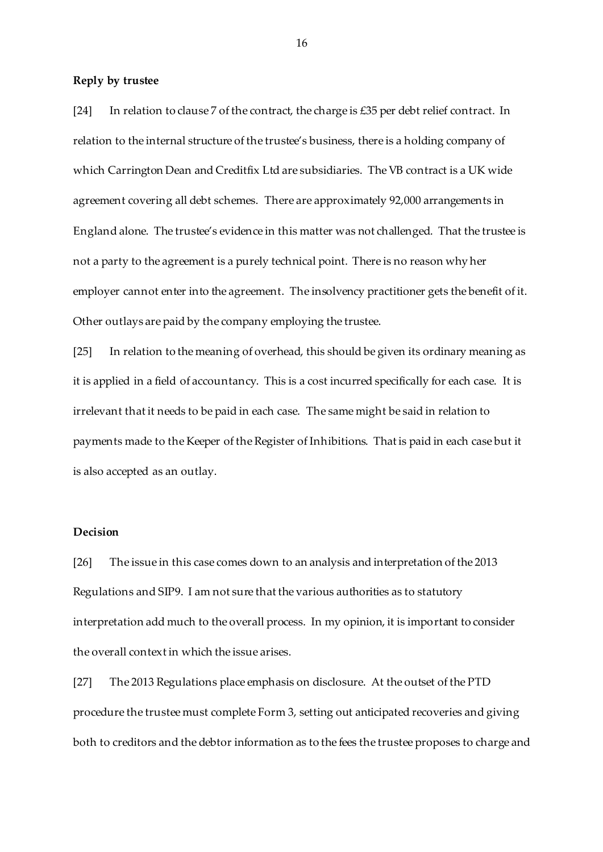### **Reply by trustee**

[24] In relation to clause 7 of the contract, the charge is £35 per debt relief contract. In relation to the internal structure of the trustee's business, there is a holding company of which Carrington Dean and Creditfix Ltd are subsidiaries. The VB contract is a UK wide agreement covering all debt schemes. There are approximately 92,000 arrangements in England alone. The trustee's evidence in this matter was not challenged. That the trustee is not a party to the agreement is a purely technical point. There is no reason why her employer cannot enter into the agreement. The insolvency practitioner gets the benefit of it. Other outlays are paid by the company employing the trustee.

[25] In relation to the meaning of overhead, this should be given its ordinary meaning as it is applied in a field of accountancy. This is a cost incurred specifically for each case. It is irrelevant that it needs to be paid in each case. The same might be said in relation to payments made to the Keeper of the Register of Inhibitions. That is paid in each case but it is also accepted as an outlay.

### **Decision**

[26] The issue in this case comes down to an analysis and interpretation of the 2013 Regulations and SIP9. I am not sure that the various authorities as to statutory interpretation add much to the overall process. In my opinion, it is important to consider the overall context in which the issue arises.

[27] The 2013 Regulations place emphasis on disclosure. At the outset of the PTD procedure the trustee must complete Form 3, setting out anticipated recoveries and giving both to creditors and the debtor information as to the fees the trustee proposes to charge and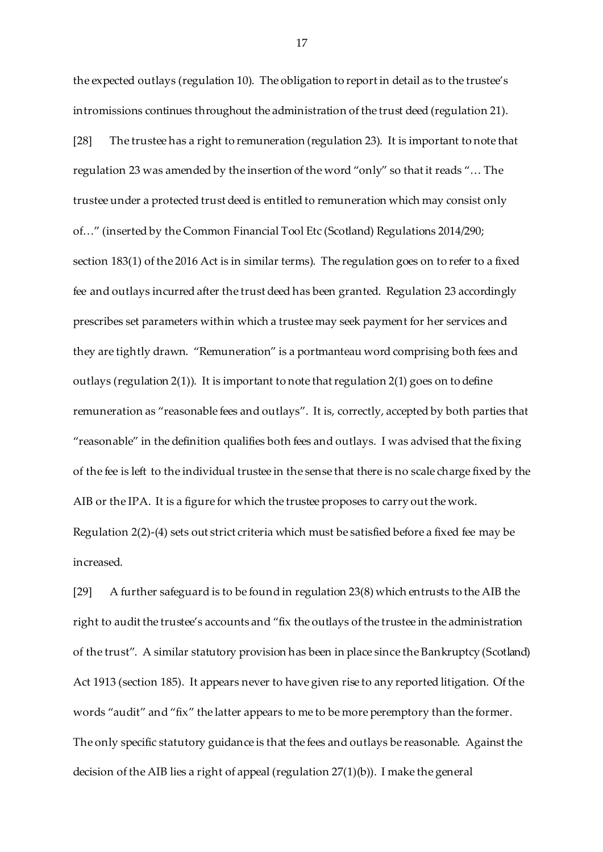the expected outlays (regulation 10). The obligation to report in detail as to the trustee's intromissions continues throughout the administration of the trust deed (regulation 21).

[28] The trustee has a right to remuneration (regulation 23). It is important to note that regulation 23 was amended by the insertion of the word "only" so that it reads "… The trustee under a protected trust deed is entitled to remuneration which may consist only of…" (inserted by the Common Financial Tool Etc (Scotland) Regulations 2014/290; section 183(1) of the 2016 Act is in similar terms). The regulation goes on to refer to a fixed fee and outlays incurred after the trust deed has been granted. Regulation 23 accordingly prescribes set parameters within which a trustee may seek payment for her services and they are tightly drawn. "Remuneration" is a portmanteau word comprising both fees and outlays (regulation 2(1)). It is important to note that regulation 2(1) goes on to define remuneration as "reasonable fees and outlays". It is, correctly, accepted by both parties that "reasonable" in the definition qualifies both fees and outlays. I was advised that the fixing of the fee is left to the individual trustee in the sense that there is no scale charge fixed by the AIB or the IPA. It is a figure for which the trustee proposes to carry out the work. Regulation 2(2)-(4) sets out strict criteria which must be satisfied before a fixed fee may be increased.

[29] A further safeguard is to be found in regulation 23(8) which entrusts to the AIB the right to audit the trustee's accounts and "fix the outlays of the trustee in the administration of the trust". A similar statutory provision has been in place since the Bankruptcy (Scotland) Act 1913 (section 185). It appears never to have given rise to any reported litigation. Of the words "audit" and "fix" the latter appears to me to be more peremptory than the former. The only specific statutory guidance is that the fees and outlays be reasonable. Against the decision of the AIB lies a right of appeal (regulation 27(1)(b)). I make the general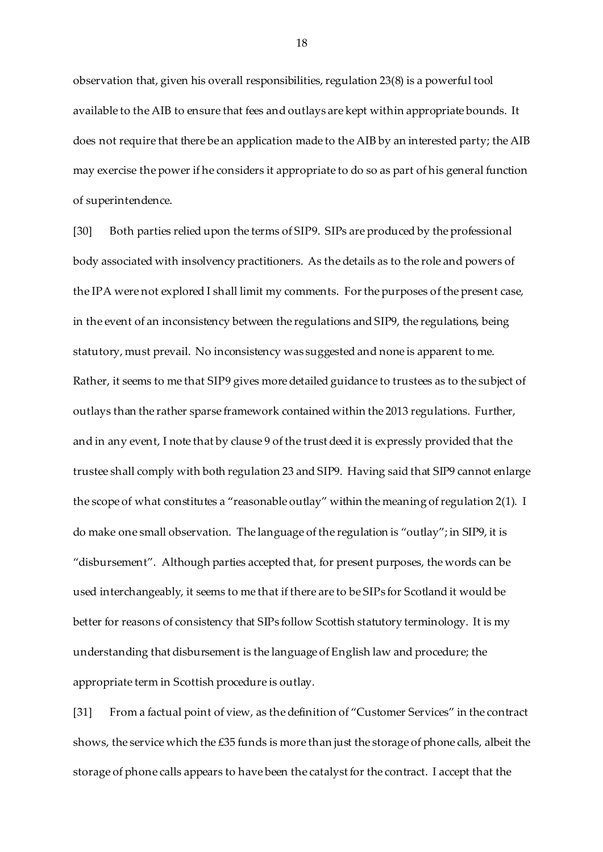observation that, given his overall responsibilities, regulation 23(8) is a powerful tool available to the AIB to ensure that fees and outlays are kept within appropriate bounds. It does not require that there be an application made to the AIB by an interested party; the AIB may exercise the power if he considers it appropriate to do so as part of his general function of superintendence.

[30] Both parties relied upon the terms of SIP9. SIPs are produced by the professional body associated with insolvency practitioners. As the details as to the role and powers of the IPA were not explored I shall limit my comments. For the purposes of the present case, in the event of an inconsistency between the regulations and SIP9, the regulations, being statutory, must prevail. No inconsistency was suggested and none is apparent to me. Rather, it seems to me that SIP9 gives more detailed guidance to trustees as to the subject of outlays than the rather sparse framework contained within the 2013 regulations. Further, and in any event, I note that by clause 9 of the trust deed it is expressly provided that the trustee shall comply with both regulation 23 and SIP9. Having said that SIP9 cannot enlarge the scope of what constitutes a "reasonable outlay" within the meaning of regulation 2(1). I do make one small observation. The language of the regulation is "outlay"; in SIP9, it is "disbursement". Although parties accepted that, for present purposes, the words can be used interchangeably, it seems to me that if there are to be SIPs for Scotland it would be better for reasons of consistency that SIPs follow Scottish statutory terminology. It is my understanding that disbursement is the language of English law and procedure; the appropriate term in Scottish procedure is outlay.

[31] From a factual point of view, as the definition of "Customer Services" in the contract shows, the service which the £35 funds is more than just the storage of phone calls, albeit the storage of phone calls appears to have been the catalyst for the contract. I accept that the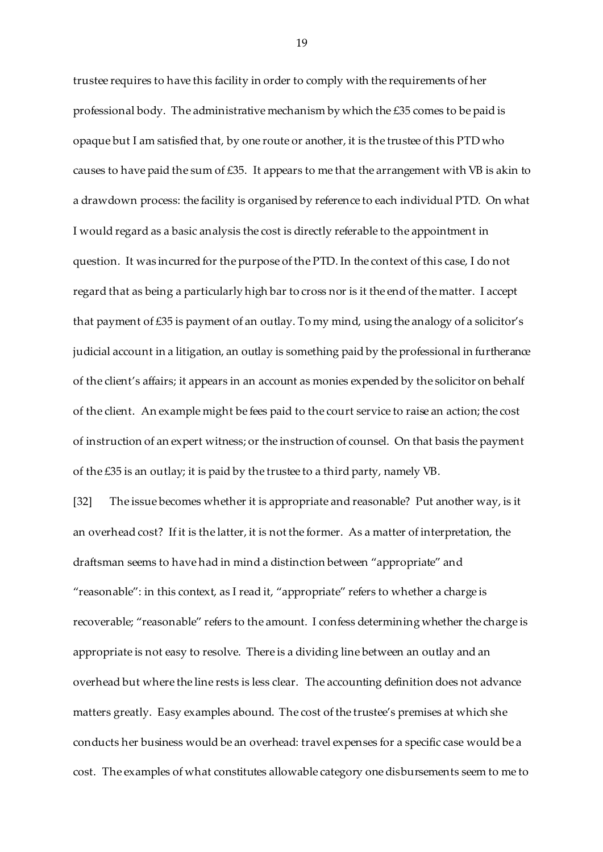trustee requires to have this facility in order to comply with the requirements of her professional body. The administrative mechanism by which the £35 comes to be paid is opaque but I am satisfied that, by one route or another, it is the trustee of this PTD who causes to have paid the sum of £35. It appears to me that the arrangement with VB is akin to a drawdown process: the facility is organised by reference to each individual PTD. On what I would regard as a basic analysis the cost is directly referable to the appointment in question. It was incurred for the purpose of the PTD. In the context of this case, I do not regard that as being a particularly high bar to cross nor is it the end of the matter. I accept that payment of £35 is payment of an outlay. To my mind, using the analogy of a solicitor's judicial account in a litigation, an outlay is something paid by the professional in furtherance of the client's affairs; it appears in an account as monies expended by the solicitor on behalf of the client. An example might be fees paid to the court service to raise an action; the cost of instruction of an expert witness; or the instruction of counsel. On that basis the payment of the £35 is an outlay; it is paid by the trustee to a third party, namely VB.

[32] The issue becomes whether it is appropriate and reasonable? Put another way, is it an overhead cost? If it is the latter, it is not the former. As a matter of interpretation, the draftsman seems to have had in mind a distinction between "appropriate" and "reasonable": in this context, as I read it, "appropriate" refers to whether a charge is recoverable; "reasonable" refers to the amount. I confess determining whether the charge is appropriate is not easy to resolve. There is a dividing line between an outlay and an overhead but where the line rests is less clear. The accounting definition does not advance matters greatly. Easy examples abound. The cost of the trustee's premises at which she conducts her business would be an overhead: travel expenses for a specific case would be a cost. The examples of what constitutes allowable category one disbursements seem to me to